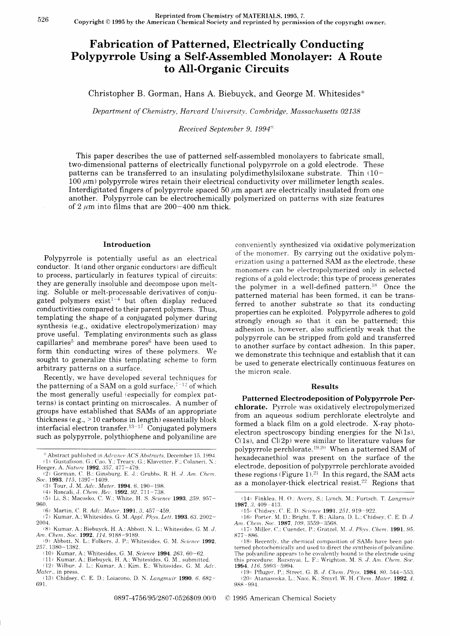# Fabrication of Patterned, Electrically Conducting Polypyrrole Using a Self-Assembled Monolayer: A Route to All-Organic Circuits

Christopher B. Gorman, Hans A. Biebuyck, and George M. Whitesides\*

Department of Chemistry, Harvard University, Cambridge, Massachusetts 02138

Receiued September 9, 1994"

This paper describes the use of patterned self-assembled monolayers to fabricate small, two-dimensional patterns of electrically functional polypyrrole on a gold electrode. These patterns can be transferred to an insulating polydimethylsiloxane substrate. Thin (10-  $100 \mu m$ ) polypyrrole wires retain their electrical conductivity over millimeter length scales. Interdigitated fingers of polypyrrole spaced 50  $\mu$ m apart are electrically insulated from one another. Polypyrrole can be electrochemically polymerized on patterns with size features of 2  $\mu$ m into films that are 200-400 nm thick.

### Introduction

Polypyrrole is potentially useful as an electrical conductor. It (and other organic conductors ) are difficult to process, particularly in features typical of circuits: they are generally insoluble and decompose upon melting. Soluble or melt-processable derivatives of conjugated polymers exist<sup>1-4</sup> but often display reduced conductivities compared to their parent polymers. Thus, templating the shape of a conjugated polymer during synthesis (e.g., oxidative electropolymerization) may prove useful. Templating environments such as giass capillaries<sup>5</sup> and membrane pores<sup>6</sup> have been used to form thin conducting wires of these polymers. We sought to generalize this templating scheme to form arbitrary patterns on a surface.

Recently, we have developed several techniques for the patterning of a SAM on a gold surface.<sup> $7-12$ </sup> of which the most generally useful (especially for complex patterns) is contact printing on microscaies. A number of groups have established that SAMs of an appropriate thickness (e.g.,  $> 10$  carbons in length) essentially block interfacial electron transfer.<sup>13-17</sup> Conjugated polymers such as polypyrrole. polythiophene and poiyaniline are

- (6) Martin, C. R. Adv. Mater. 1991, 3, 457-459.
- (7) Kumar, A.; Whitesides. G. M. Appl. Phys. Lett. 1993. 63. 2002-2004.
- (8) Kumar. A.; Biebuyck. H. A.:Abbott. N. L.: Whitesides. G. M. J. Am. Chem. Soc. **1992**, 114, 9188–9189.<br>(9) Abbott, N. L.; Folkers, J. P.; Whitesides, G. M. Science **1992**.
- 257. 1380-1382.
- (10) Kumar, A.; Whitesides, G. M. Science 1994, 263, 60-62.
- (11) Kumar, A.; Biebuyck, H. A.; Whitesides, G. M., submitted.
- (12) Wilbur. J. L.: Kumar. A.: Kim. E.: Whitesides. G. M. Adv. Mater., in press.
- t13) Chidsey.C.E.D.: Loiacono. D. N. Langmuir 1990.6.682- 691.

conveniently synthesized via oxidative polymerization of the monomer. By carrying out the oxidative polymerization using a patterned SAM as the electrode, these monomers can be electropoiymerized oniy in selected regions of a gold electrode; this type of process generates the polymer in a well-defined pattern.<sup>18</sup> Once the patterned material has been formed. it can be transferred to another substrate so that its conducting properties can be exploited. Polypyrrole adheres to gold strongly enough so that it can be patterned; this adhesion is. however, also sufficientiy weak that the polypyrroie can be stripped from gold and transferred to another surface by contact adhesion. In this paper, we demonstrate this technique and estabiish that it can be used to generate electrically continuous features on the micron scale.

## Results

Patterned Electrodeposition of Polypyrrole Perchlorate. Pyrrole was oxidatively electropolymerized from an aqueous sodium perchlorate electrolyte and formed a black film on a gold electrode. X-ray photoelectron spectroscopy binding energies for the  $N(1s)$ ,  $C(1s)$ , and  $Cl(2p)$  were similar to literature values for polypyrrole perchlorate.<sup>19.20</sup> When a patterned SAM of hexadecanethiol was present on the surface of the electrode, deposition of polypyrrole perchlorate avoided these regions (Figure 1).<sup>21</sup> In this regard, the SAM acts as a monolayer-thick electrical resist.<sup>22</sup> Regions that

(14) Finklea, H. O.: Avery, S.: Lynch, M.: Furtsch, T. Langmuir 1987. 3. 409-413.

(15) Chidsey, C. E. D. Science 1991, 251, 919-922.

t16) Porter. M. D.: Bright. T. B.: Allara. D. L.: Chidsey. C. E. D. J. Am. Chem. Soc. 1987. 109. 3559-3568.

(19) Pfluger. P.; Street. G. B. J. Chem. Phys. 1984. 80, 544-553. (20) Atanasoska, L.: Naoi, K.: Smyrl. W. H. Chem. Mater. 1992, 4. 988 - 99.1.

0897-4756/95/2807-0526\$09.00/0 © 1995 American Chemical Society

<sup>&</sup>lt;sup>®</sup> Abstract published in Advance ACS Abstracts. December 15. 1994.

<sup>(1)</sup> Gustafsson. G.: Cao. Y.: Treacy. G.: Klavetter. F.: Colaneri. N.: Heeger, A. *Nature* 1992. 357, 477–479.<br>(2) Gorman, C. B.: Ginsburg, E. J.: Grubbs, R. H. *J. Am. Chem.*<br>Soc. 1993, 115, 1397–1409.

 $(3)$  Tour, J. M. Adv. Mater. 1994, 6, 190-198.

<sup>(4)</sup> Roncali, J. *Chem. Rev.* 1**992**, 92, 711–738.<br>(5) Li, S.; Macosko, C. W.; White, H. S. *Science* 1**993**, 259, 957– 960.

<sup>(17)</sup> Miller. C.: Cuendet. P.: Grätzel. M. J. Phys. Chem. 1991, 95. 877-886

 $(18)$  Recently, the chemical composition of SAMs have been patterned photochemically and used to direct the synthesis of polyaniline. The polyaniline appears to be covalently bound to the electrode using this procedure: Rozsnyai. L. F.; Wrighton. M. S. J. Am. Chem. Soc 1994. 116. 5993-5994.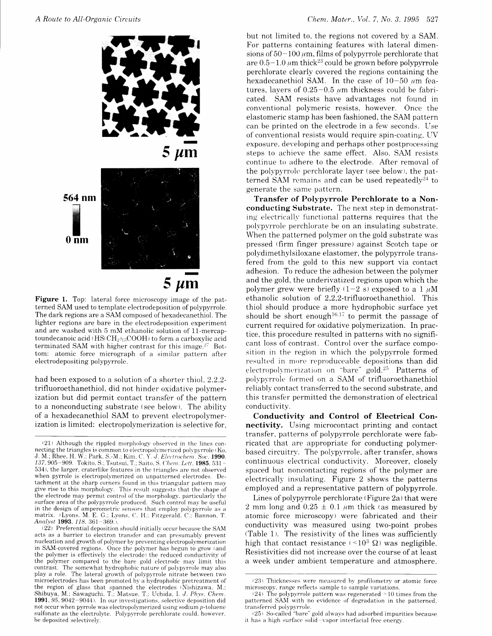

Figure 1. Top: lateral force microscopy image of the patterned SAM used to template electrodeposition of polvpyrrole. The dark regions are a SAM composed of hexadecanethiol. The lighter regions are bare in the electrodeposition experiment and are washed with 5 mM ethanolic solution of 11-mercaptoundecanoic acid $(\mathrm{HS}(\mathrm{CH}_2)_{15}\mathrm{COOH})$  to form a carboxylic acid terminated SAM with higher contrast for this image.<sup>27</sup> Bottom: atomic force micrograph of a similar pattern after electrodepositing polypvrrole.

had been exposed to a solution of a shorter thiol. 2.2.2 trifluoroethanethiol. did not hinder oxidative poiymerization but did permit contact transfer of the pattern to a nonconducting substrate (see below). The ability of a hexadecanethiol SAM to prevent electropolymerization is limited: electropolymerization is selective for. but not limited to, the regions not covered by a SAM. For patterns containing features with lateral dimensions of  $50-100 \mu m$ , films of polypyrrole perchlorate that are  $0.5-1.0 \mu m$  thick<sup>23</sup> could be grown before polypyrrole perchlorate clearly covered the regions containing the hexadecanethiol SAM. In the case of  $10-50$  um features, layers of  $0.25-0.5 \mu m$  thickness could be fabricated. SAM resists have advantages not found in conventional polymeric resists, however. Once the elastomeric stamp has been fashioned, the SAM pattern can be printed on the electrode in a few seconds. Use of conventional resists would require spin-coating. LV exposure, developing and perhaps other postprocessing steps to achieve the same effect. Also. SAM resists continue to adhere to the electrode. After removal of the polypyrrole perchlorate layer (see below), the patterned SAM remains and can be used repeatedly<sup>24</sup> to generate the same pattern.

Transfer of Polypyrrole Perchlorate to a Nonconducting Substrate. The next step in demonstrating electrically functional patterns requires that the polypyrrole perchlorate be on an insulating substrate. When the patterned polymer on the gold substrate was pressed (firm finger pressure) against Scotch tape or polydimethylsiloxane elastomer, the polypyrrole transfered from the gold to this new support via contact adhesion. To reduce the adhesion between the polymer and the gold, the underivatized regions upon which the polymer grew were briefly (1-2 s) exposed to a 1  $\mu$ M ethanolic solution of 2,2,2-trifluoroethanethiol. This thioi should produce a more hydrophobic surface yet should be short enough<sup>16,17</sup> to permit the passage of current required for oxidative polymerization. In practice, this procedure resulted in patterns with no significant loss of contrast. Control over the surface composition in the region in which the polypyrrole formed resulted in more reproduceable depositions than did electropolymerization on "bare" gold.<sup>25</sup> Patterns of polypyrrole formed on a SAM of trifluoroethanethiol reliably contact transferred to the second substrate, and this transfer permitted the demonstration of electrical conductivity.

Conductivity and Control of Electrical Connectivity. Using microcontact printing and contact transfer, patterns of polypyrrole perchlorate were fabricated that are appropriate for conducting polymerbased circuitry. The polypyrrole, after transfer, shows continuous electrical conductivity. Moreover, closeiy spaced but noncontacting regions of the polymer are electrically insulating. Figure 2 shows the patterns employed and a representative pattern of polypyrrole.

Lines of polypyrrole perchlorate (Figure 2a) that were 2 mm long and  $0.25 \pm 0.1$  *u*m thick (as measured by atomic force microscopy) were fabricated and their conductivity was measured using two-point probes  $(Table 1)$ . The resistivity of the lines was sufficiently high that contact resistance  $($  <  $10<sup>3</sup>$   $\Omega$ ) was negligible. Resistivities did not increase over the course of at least a week under ambient temperature and atmosphere.

 $(21)$  Although the rippled morphology observed in the lines connecting the triangles is common to electropolymerized polypyrrole  $(K_0,$ J. M.; Rhee, H. W.: Park. S.-M.; Kim. C. Y. J. Electrochem. Soc. 1990. 137, 905-909. Tokito, S.; Tsutsui, T.; Saito, S. Chem. Lett. 1985. 531. 534), the larger, craterlike features in the triangles are not observed when pyrrole is electropolymerized on unpatterned electrodes. Detachment at the sharp corners found in this triangular pattern may give rise to this morphology. This result suggests that the shape of the electrode may permit control of the morphology. particularly the surface area of the polypyrrole produced. Such control may be useful in the design of amperometric sensors that employ polypyrrole as a matrix. (Lyons. M. E. G.: Lyons. C. H.: Fitzgerald. C.: Bannon. T. Analyst 1993, 118, 361–369.

 $(22)$  Preferential deposition should initially occur because the SAM acts as a barrier to electron transfer and can presumably' prevent nucleation and growth of polymer by preventing electropolymerization in SAM-covered regions. Once the polymer has begun to grow (and the polymer is effectively the electrode) the reduced conductivity of the polymer compared to the bare gold electrode may limit this contrast. The somewhat hydrophobic nature of polypyrrole may also play a role. The lateral growth of polypyrrole nitrate between two microelectrodes has been promoted by a hydrophobic pretreatment of the region of glass that spanned the electrodes (Nishizawa, M.; Shibuya, M.; Sawaguchi, T.; Matsue, T.; Uchida, I. J. Phys. Chem. 1991.  $95. 9042-9044$ . In our investigations, selective deposition did not occur when pyrrole was electropolymerized using sodium  $p$ -toluene sulfonate as the electrolyte. Polypyrrole perchlorate could, however, be deposited selectively.

 $(23)$  Thicknesses were measured by profilometry or atomic force microscopy. range reflects sample to sample variations.

 $(24)$  The polypyrrole pattern was regenerated  $\geq 10$  times from the patterned SAM with no evidence of degradation in the patterned. transferred polypyrrole.

 $(25)$  So-called "bare" gold always had adsorbed impurities because it has a high surface solid-vapor interfacial free energy.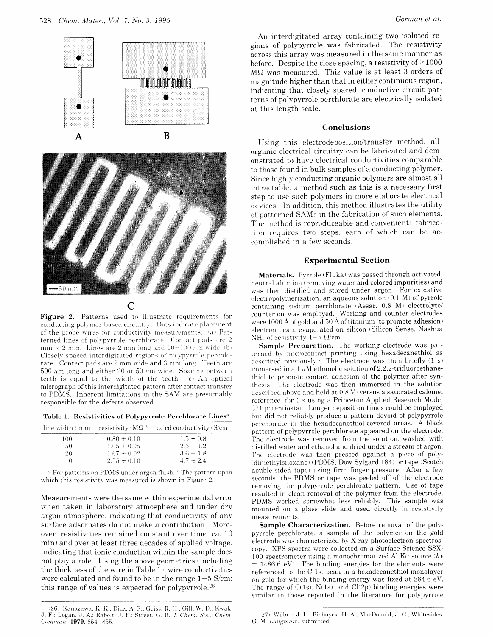



# $\overline{C}$

Figure 2. Patterns used to illustrate requirements for conducting polymer-based circuitry. Dots indicate placement of the probe wires for conductivity measurements. (a) Patterned lines of polypyrrole perchlorate. Contact pads are 2 mm  $\times$  2 mm. Lines are 2 mm long and 10-100 am wide. (b) Closely spaced interdigitated regions of polypyrrole perchlorate. Contact pads are 2 mm wide and 3 mm long. Teeth are 500  $\mu$ m long and either 20 or 50  $\mu$ m wide. Spacing between teeth is equal to the width of the teeth. (c) An optical micrograph of this interdigitated pattern after contact transfer to PDMS. Inherent limitations in the SAM are presumably responsible for the defects observed.

Table 1. Resistivities of Polypyrrole Perchlorate Lines<sup>a</sup>

|              |                 | line width (mm) resistivity $(M\Omega)^b$ calcd conductivity (S/cm) |
|--------------|-----------------|---------------------------------------------------------------------|
| 100.         | $0.80 + 0.10$   | $1.5 \pm 0.8$                                                       |
| $50^{\circ}$ | $1.05 + 0.05$   | $2.3 \pm 1.2$                                                       |
| 20           | $1.67 \pm 0.02$ | $3.6 + 1.8$                                                         |
| 10           | $2.55 \pm 0.10$ | $4.7 + 2.4$                                                         |

 $\degree$  For patterns on PDMS under argon flush.  $\degree$  The pattern upon which this resistivity was measured is shown in Figure 2.

Measurements were the same within experimental error when taken in laboratory atmosphere and under dry argon atmosphere, indicating that conductivity of any surface adsorbates do not make a contribution. Moreover, resistivities remained constant over time (ca. 10) min) and over at least three decades of applied voltage, indicating that ionic conduction within the sample does not play a role. Using the above geometries (including the thickness of the wire in Table 1), wire conductivities were calculated and found to be in the range  $1-5$  S/cm; this range of values is expected for polypyrrole.<sup>26</sup>

An interdigitated array containing two isolated regions of polypyrrole was fabricated. The resistivity across this array was measured in the same manner as before. Despite the close spacing, a resistivity of >1000 MΩ was measured. This value is at least 3 orders of magnitude higher than that in either continuous region, indicating that closely spaced, conductive circuit patterns of polypyrrole perchlorate are electrically isolated at this length scale.

### Conclusions

Using this electrodeposition/transfer method, allorganic electrical circuitry can be fabricated and demonstrated to have electrical conductivities comparable to those found in bulk samples of a conducting polymer. Since highly conducting organic polymers are almost all intractable, a method such as this is a necessary first step to use such polymers in more elaborate electrical devices. In addition, this method illustrates the utility of patterned SAMs in the fabrication of such elements. The method is reproduceable and convenient: fabrication requires two steps, each of which can be accomplished in a few seconds.

### **Experimental Section**

Materials. Pyrrole (Fluka) was passed through activated, neutral alumina (removing water and colored impurities) and was then distilled and stored under argon. For oxidative electropolymerization, an aqueous solution (0.1 M) of pyrrole containing sodium perchlorate (Aesar, 0.8 M) electrolyte/ counterion was employed. Working and counter electrodes were 1000 A of gold and 50 Å of titanium (to promote adhesion) electron beam evaporated on silicon (Silicon Sense, Nashua NH) of resistivity  $1-5$   $\Omega$ /cm.

Sample Preparation. The working electrode was patterned by microcontact printing using hexadecanethiol as described previously.<sup>7</sup> The electrode was then briefly (1 s) immersed in a  $1 \mu$ M ethanolic solution of 2,2,2-trifluoroethanethiol to promote contact adhesion of the polymer after synthesis. The electrode was then immersed in the solution described above and held at 0.8 V (versus a saturated calomel reference) for 1 s using a Princeton Applied Research Model 371 potentiostat. Longer deposition times could be employed but did not reliably produce a pattern devoid of polypyrrole perchlorate in the hexadecanethiol-covered areas. A black pattern of polypyrrole perchlorate appeared on the electrode. The electrode was removed from the solution, washed with distilled water and ethanol and dried under a stream of argon. The electrode was then pressed against a piece of poly-(dimethylsiloxane) (PDMS, Dow Sylgard 184) or tape (Scotch double-sided tape) using firm finger pressure. After a few seconds, the PDMS or tape was peeled off of the electrode removing the polypyrrole perchlorate pattern. Use of tape resulted in clean removal of the polymer from the electrode. PDMS worked somewhat less reliably. This sample was mounted on a glass slide and used directly in resistivity measurements.

Sample Characterization. Before removal of the polypyrrole perchlorate, a sample of the polymer on the gold electrode was characterized by X-ray photoelectron spectroscopy. XPS spectra were collected on a Surface Science SSX-100 spectrometer using a monochromatized Al K $\alpha$  source  $(hv)$  $= 1486.6$  eV). The binding energies for the elements were referenced to the  $C(1s)$  peak in a hexadecanethiol monolayer on gold for which the binding energy was fixed at 284.6 eV. The range of  $C(1s)$ ,  $N(1s)$ , and  $Cl(2p)$  binding energies were similar to those reported in the literature for polypyrrole

<sup>(26)</sup> Kanazawa, K. K.; Diaz, A. F.; Geiss, R. H.; Gill, W. D.; Kwak, J. F.; Logan, J. A.; Rabolt, J. F.; Street, G. B. J. Chem. Soc., Chem. Commun. 1979. 854-855.

<sup>(27)</sup> Wilbur, J. L.; Biebuyck, H. A.; MacDonald, J. C.; Whitesides, G. M. Langmuir, submitted